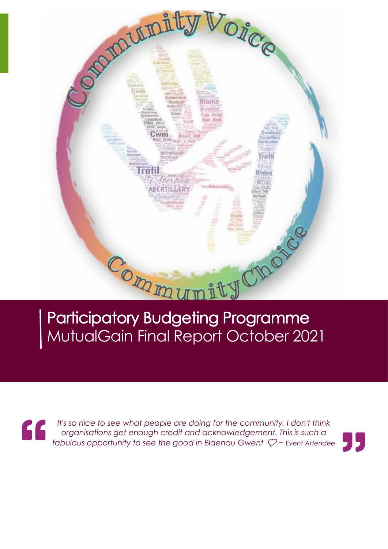

# Participatory Budgeting Programme MutualGain Final Report October 2021

It's so nice to see what people are doing for the community, I don't think *organisations get enough credit and acknowledgement. This is such a fabulous opportunity to see the good in Blaenau Gwent*  $\heartsuit$  *~ Event Attendee* 

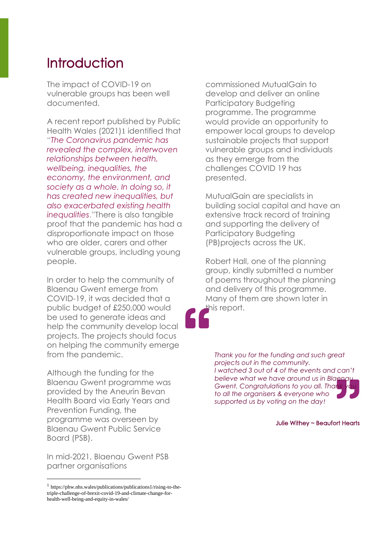## Introduction

The impact of COVID-19 on vulnerable groups has been well documented.

A recent report published by Public Health Wales (2021)1 identified that "*The Coronavirus pandemic has revealed the complex, interwoven relationships between health, wellbeing, inequalities, the economy, the environment, and society as a whole. In doing so, it has created new inequalities, but also exacerbated existing health inequalities*."There is also tangible proof that the pandemic has had a disproportionate impact on those who are older, carers and other vulnerable groups, including young people.

In order to help the community of Blaenau Gwent emerge from COVID-19, it was decided that a public budget of £250,000 would be used to generate ideas and help the community develop local projects. The projects should focus on helping the community emerge from the pandemic.

Although the funding for the Blaenau Gwent programme was provided by the Aneurin Bevan Health Board via Early Years and Prevention Funding, the programme was overseen by Blaenau Gwent Public Service Board (PSB).

In mid-2021, Blaenau Gwent PSB partner organisations

commissioned MutualGain to develop and deliver an online Participatory Budgeting programme. The programme would provide an opportunity to empower local groups to develop sustainable projects that support vulnerable groups and individuals as they emerge from the challenges COVID 19 has presented.

MutualGain are specialists in building social capital and have an extensive track record of training and supporting the delivery of Participatory Budgeting (PB)projects across the UK.

Robert Hall, one of the planning group, kindly submitted a number of poems throughout the planning and delivery of this programme. Many of them are shown later in this report.

*Thank you for the funding and such great projects out in the community. I watched 3 out of 4 of the events and can't believe what we have around us in Blaenau Gwent.* Congratulations to you all. Thank *to all the organisers & everyone who supported us by voting on the day!*

Julie Withey ~ Beaufort Hearts

<sup>1</sup> https://phw.nhs.wales/publications/publications1/rising-to-thetriple-challenge-of-brexit-covid-19-and-climate-change-forhealth-well-being-and-equity-in-wales/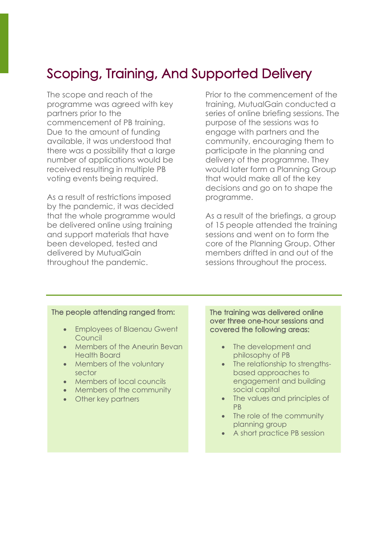# Scoping, Training, And Supported Delivery

The scope and reach of the programme was agreed with key partners prior to the commencement of PB training. Due to the amount of funding available, it was understood that there was a possibility that a large number of applications would be received resulting in multiple PB voting events being required.

As a result of restrictions imposed by the pandemic, it was decided that the whole programme would be delivered online using training and support materials that have been developed, tested and delivered by MutualGain throughout the pandemic.

Prior to the commencement of the training, MutualGain conducted a series of online briefing sessions. The purpose of the sessions was to engage with partners and the community, encouraging them to participate in the planning and delivery of the programme. They would later form a Planning Group that would make all of the key decisions and go on to shape the programme.

As a result of the briefings, a group of 15 people attended the training sessions and went on to form the core of the Planning Group. Other members drifted in and out of the sessions throughout the process.

#### The people attending ranged from:

- Employees of Blaenau Gwent **Council**
- Members of the Aneurin Bevan Health Board
- Members of the voluntary sector
- Members of local councils
- Members of the community
- Other key partners

The training was delivered online over three one-hour sessions and covered the following areas:

- The development and philosophy of PB
- The relationship to strengthsbased approaches to engagement and building social capital
- The values and principles of PB
- The role of the community planning group
- A short practice PB session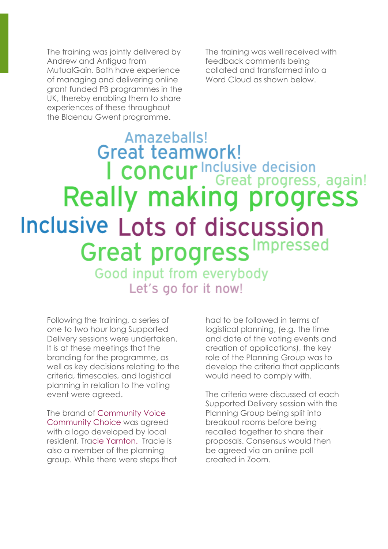The training was jointly delivered by Andrew and Antigua from MutualGain. Both have experience of managing and delivering online grant funded PB programmes in the UK, thereby enabling them to share experiences of these throughout the Blaenau Gwent programme.

The training was well received with feedback comments being collated and transformed into a Word Cloud as shown below.

# Amazeballs! **Great teamwork! CONCULT** Inclusive decision<br>
1 **CONCULT** Great progress, again! **Really making progress Inclusive Lots of discussion Great progress Impressed** Good input from everybody

Let's go for it now!

Following the training, a series of one to two hour long Supported Delivery sessions were undertaken. It is at these meetings that the branding for the programme, as well as key decisions relating to the criteria, timescales, and logistical planning in relation to the voting event were agreed.

The brand of Community Voice Community Choice was agreed with a logo developed by local resident, Tracie Yarnton. Tracie is also a member of the planning group. While there were steps that

had to be followed in terms of logistical planning, (e.g. the time and date of the voting events and creation of applications), the key role of the Planning Group was to develop the criteria that applicants would need to comply with.

The criteria were discussed at each Supported Delivery session with the Planning Group being split into breakout rooms before being recalled together to share their proposals. Consensus would then be agreed via an online poll created in Zoom.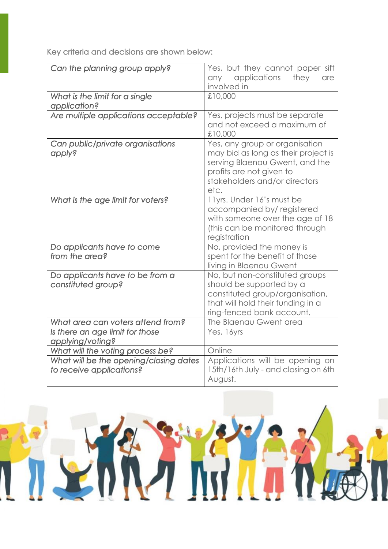Key criteria and decisions are shown below:

| Can the planning group apply?                                      | Yes, but they cannot paper sift<br>applications<br>any<br>they<br>are<br>involved in                                                                                         |
|--------------------------------------------------------------------|------------------------------------------------------------------------------------------------------------------------------------------------------------------------------|
| What is the limit for a single<br>application?                     | £10,000                                                                                                                                                                      |
| Are multiple applications acceptable?                              | Yes, projects must be separate<br>and not exceed a maximum of<br>£10,000                                                                                                     |
| Can public/private organisations<br>apply?                         | Yes, any group or organisation<br>may bid as long as their project is<br>serving Blaenau Gwent, and the<br>profits are not given to<br>stakeholders and/or directors<br>etc. |
| What is the age limit for voters?                                  | 11yrs. Under 16's must be<br>accompanied by/registered<br>with someone over the age of 18<br>(this can be monitored through<br>registration                                  |
| Do applicants have to come<br>from the area?                       | No, provided the money is<br>spent for the benefit of those<br>living in Blaenau Gwent                                                                                       |
| Do applicants have to be from a<br>constituted group?              | No, but non-constituted groups<br>should be supported by a<br>constituted group/organisation,<br>that will hold their funding in a<br>ring-fenced bank account.              |
| What area can voters attend from?                                  | The Blaenau Gwent area                                                                                                                                                       |
| Is there an age limit for those<br>applying/voting?                | Yes, 16yrs                                                                                                                                                                   |
| What will the voting process be?                                   | Online                                                                                                                                                                       |
| What will be the opening/closing dates<br>to receive applications? | Applications will be opening on<br>15th/16th July - and closing on 6th<br>August.                                                                                            |

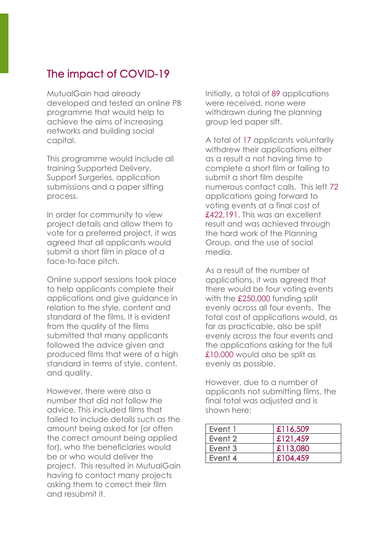## The impact of COVID-19

MutualGain had already developed and tested an online PB programme that would help to achieve the aims of increasing networks and building social capital.

This programme would include all training Supported Delivery, Support Surgeries, application submissions and a paper sifting process.

In order for community to view project details and allow them to vote for a preferred project, it was agreed that all applicants would submit a short film in place of a face-to-face pitch.

Online support sessions took place to help applicants complete their applications and give guidance in relation to the style, content and standard of the films. It is evident from the quality of the films submitted that many applicants followed the advice given and produced films that were of a high standard in terms of style, content, and quality.

However, there were also a number that did not follow the advice. This included films that failed to include details such as the amount being asked for (or often the correct amount being applied for), who the beneficiaries would be or who would deliver the project. This resulted in MutualGain having to contact many projects asking them to correct their film and resubmit it.

Initially, a total of 89 applications were received, none were withdrawn during the planning group led paper sift.

A total of 17 applicants voluntarily withdrew their applications either as a result a not having time to complete a short film or failing to submit a short film despite numerous contact calls. This left 72 applications going forward to voting events at a final cost of £422,191. This was an excellent result and was achieved through the hard work of the Planning Group, and the use of social media.

As a result of the number of applications, it was agreed that there would be four voting events with the £250,000 funding split evenly across all four events. The total cost of applications would, as far as practicable, also be split evenly across the four events and the applications asking for the full £10,000 would also be split as evenly as possible.

However, due to a number of applicants not submitting films, the final total was adjusted and is shown here:

| Event 1 | £116,509 |
|---------|----------|
| Event 2 | £121,459 |
| Event 3 | £113,080 |
| Event 4 | £104,459 |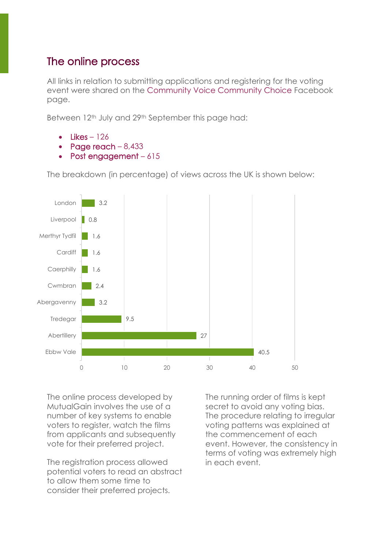## The online process

All links in relation to submitting applications and registering for the voting event were shared on the Community Voice Community Choice Facebook page.

Between 12<sup>th</sup> July and 29<sup>th</sup> September this page had:

- $\bullet$  Likes 126
- Page reach  $-8,433$
- Post engagement 615

The breakdown (in percentage) of views across the UK is shown below:



The online process developed by MutualGain involves the use of a number of key systems to enable voters to register, watch the films from applicants and subsequently vote for their preferred project.

The registration process allowed potential voters to read an abstract to allow them some time to consider their preferred projects.

The running order of films is kept secret to avoid any voting bias. The procedure relating to irregular voting patterns was explained at the commencement of each event. However, the consistency in terms of voting was extremely high in each event.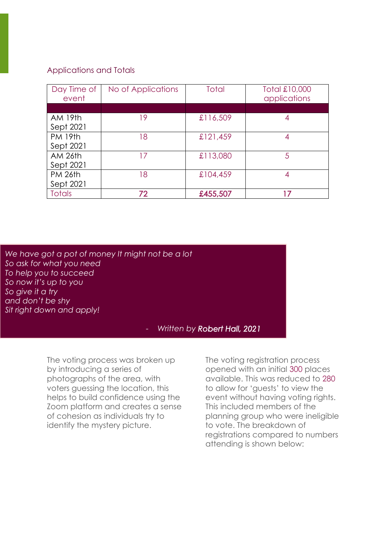#### Applications and Totals

| Day Time of<br>event | No of Applications | Total    | Total £10,000<br>applications |
|----------------------|--------------------|----------|-------------------------------|
|                      |                    |          |                               |
| <b>AM 19th</b>       | 19                 | £116,509 | 4                             |
| Sept 2021            |                    |          |                               |
| <b>PM 19th</b>       | 18                 | £121,459 | 4                             |
| Sept 2021            |                    |          |                               |
| <b>AM 26th</b>       | 17                 | £113,080 | 5                             |
| Sept 2021            |                    |          |                               |
| <b>PM 26th</b>       | 18                 | £104,459 | 4                             |
| Sept 2021            |                    |          |                               |
| <b>Totals</b>        | 72                 | £455,507 |                               |

*We have got a pot of money It might not be a lot So ask for what you need To help you to succeed So now it's up to you So give it a try and don't be shy Sit right down and apply!*

- *Written by Robert Hall, 2021*

The voting process was broken up by introducing a series of photographs of the area, with voters guessing the location, this helps to build confidence using the Zoom platform and creates a sense of cohesion as individuals try to identify the mystery picture.

The voting registration process opened with an initial 300 places available. This was reduced to 280 to allow for 'guests' to view the event without having voting rights. This included members of the planning group who were ineligible to vote. The breakdown of registrations compared to numbers attending is shown below: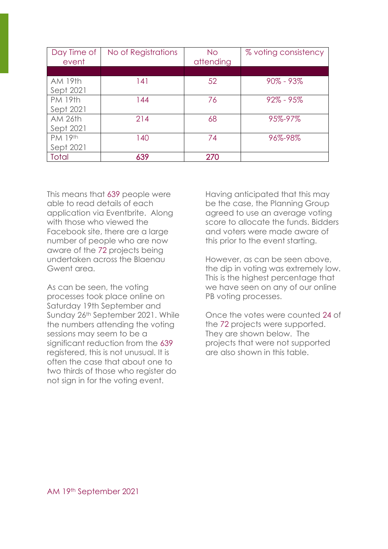| Day Time of<br>event | No of Registrations | <b>No</b><br>attending | % voting consistency |
|----------------------|---------------------|------------------------|----------------------|
|                      |                     |                        |                      |
| <b>AM 19th</b>       | 141                 | 52                     | $90\% - 93\%$        |
| Sept 2021            |                     |                        |                      |
| <b>PM 19th</b>       | 144                 | 76                     | $92\% - 95\%$        |
| Sept 2021            |                     |                        |                      |
| <b>AM 26th</b>       | 214                 | 68                     | 95%-97%              |
| Sept 2021            |                     |                        |                      |
| PM 19th              | 140                 | 74                     | 96%-98%              |
| Sept 2021            |                     |                        |                      |
| Total                | 639                 | 270                    |                      |

This means that 639 people were able to read details of each application via Eventbrite. Along with those who viewed the Facebook site, there are a large number of people who are now aware of the 72 projects being undertaken across the Blaenau Gwent area.

As can be seen, the voting processes took place online on Saturday 19th September and Sunday 26th September 2021. While the numbers attending the voting sessions may seem to be a significant reduction from the 639 registered, this is not unusual. It is often the case that about one to two thirds of those who register do not sign in for the voting event.

Having anticipated that this may be the case, the Planning Group agreed to use an average voting score to allocate the funds. Bidders and voters were made aware of this prior to the event starting.

However, as can be seen above, the dip in voting was extremely low. This is the highest percentage that we have seen on any of our online PB voting processes.

Once the votes were counted 24 of the 72 projects were supported. They are shown below. The projects that were not supported are also shown in this table.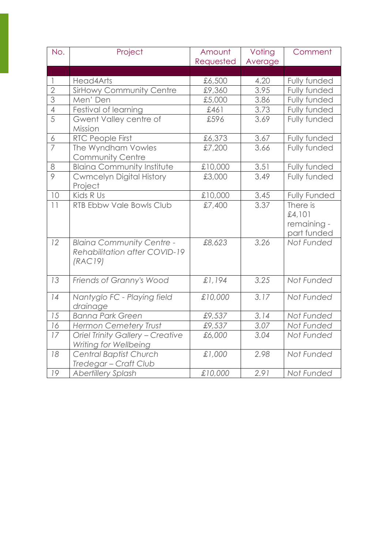| No.            | Project                                 | Amount    | Voting  | Comment             |
|----------------|-----------------------------------------|-----------|---------|---------------------|
|                |                                         | Requested | Average |                     |
|                |                                         |           |         |                     |
| $\mathbb{I}$   | Head4Arts                               | £6,500    | 4.20    | Fully funded        |
| $\overline{2}$ | SirHowy Community Centre                | £9,360    | 3.95    | Fully funded        |
| $\overline{3}$ | Men' Den                                | £5,000    | 3.86    | Fully funded        |
| $\overline{4}$ | Festival of learning                    | £461      | 3.73    | Fully funded        |
| 5              | Gwent Valley centre of                  | £596      | 3.69    | Fully funded        |
|                | Mission                                 |           |         |                     |
| 6              | RTC People First                        | £6,373    | 3.67    | Fully funded        |
| $\overline{7}$ | The Wyndham Vowles                      | £7,200    | 3.66    | Fully funded        |
|                | <b>Community Centre</b>                 |           |         |                     |
| 8              | <b>Blaina Community Institute</b>       | £10,000   | 3.51    | Fully funded        |
| 9              | <b>Cwmcelyn Digital History</b>         | £3,000    | 3.49    | Fully funded        |
|                | Project                                 |           |         |                     |
| 10             | Kids R Us                               | £10,000   | 3.45    | <b>Fully Funded</b> |
| 11             | <b>RTB Ebbw Vale Bowls Club</b>         | £7,400    | 3.37    | There is            |
|                |                                         |           |         | £4,101              |
|                |                                         |           |         | remaining -         |
|                |                                         |           |         | part funded         |
| 12             | <b>Blaina Community Centre -</b>        | £8,623    | 3.26    | Not Funded          |
|                | <b>Rehabilitation after COVID-19</b>    |           |         |                     |
|                | (RAC19)                                 |           |         |                     |
|                |                                         |           |         |                     |
| 13             | Friends of Granny's Wood                | £1,194    | 3.25    | Not Funded          |
| 14             | Nantyglo FC - Playing field             | £10,000   | 3.17    | Not Funded          |
|                | drainage                                |           |         |                     |
| 15             | <b>Banna Park Green</b>                 | £9,537    | 3.14    | Not Funded          |
| 16             | <b>Hermon Cemetery Trust</b>            | £9,537    | 3.07    | Not Funded          |
| 17             | <b>Oriel Trinity Gallery - Creative</b> | £6,000    | 3.04    | Not Funded          |
|                | Writing for Wellbeing                   |           |         |                     |
| 18             | <b>Central Baptist Church</b>           | £1,000    | 2.98    | Not Funded          |
|                | Tredegar - Craft Club                   |           |         |                     |
| 19             | Abertillery Splash                      | £10,000   | 2.91    | Not Funded          |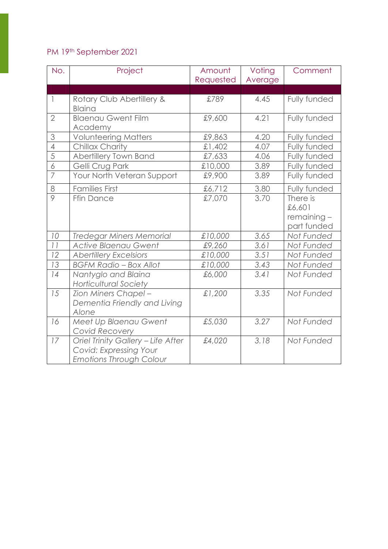### PM 19th September 2021

| No.                      | Project                                                                                        | Amount    | Voting  | Comment                                            |
|--------------------------|------------------------------------------------------------------------------------------------|-----------|---------|----------------------------------------------------|
|                          |                                                                                                | Requested | Average |                                                    |
| $\overline{\phantom{a}}$ | Rotary Club Abertillery &<br><b>Blaina</b>                                                     | £789      | 4.45    | Fully funded                                       |
| $\overline{2}$           | <b>Blaenau Gwent Film</b><br>Academy                                                           | £9,600    | 4.21    | Fully funded                                       |
| $\Im$                    | <b>Volunteering Matters</b>                                                                    | £9,863    | 4.20    | Fully funded                                       |
| $\overline{4}$           | Chillax Charity                                                                                | £1,402    | 4.07    | Fully funded                                       |
| 5                        | Abertillery Town Band                                                                          | £7,633    | 4.06    | Fully funded                                       |
| 6                        | Gelli Crug Park                                                                                | £10,000   | 3.89    | Fully funded                                       |
| $\overline{7}$           | Your North Veteran Support                                                                     | £9,900    | 3.89    | Fully funded                                       |
| 8                        | <b>Families First</b>                                                                          | £6,712    | 3.80    | Fully funded                                       |
| 9                        | <b>Ffin Dance</b>                                                                              | £7,070    | 3.70    | There is<br>£6,601<br>$remaining -$<br>part funded |
| 10                       | <b>Tredegar Miners Memorial</b>                                                                | £10,000   | 3.65    | Not Funded                                         |
| 11                       | <b>Active Blaenau Gwent</b>                                                                    | £9,260    | 3.61    | Not Funded                                         |
| 12                       | <b>Abertillery Excelsiors</b>                                                                  | £10,000   | 3.51    | Not Funded                                         |
| 13                       | <b>BGFM Radio - Box Allot</b>                                                                  | £10,000   | 3.43    | Not Funded                                         |
| 14                       | Nantyglo and Blaina<br><b>Horticultural Society</b>                                            | £6,000    | 3.41    | Not Funded                                         |
| 15                       | Zion Miners Chapel -<br>Dementia Friendly and Living<br>Alone                                  | £1,200    | 3.35    | Not Funded                                         |
| 16                       | Meet Up Blaenau Gwent<br>Covid Recovery                                                        | £5,030    | 3.27    | Not Funded                                         |
| 17                       | Oriel Trinity Gallery - Life After<br>Covid: Expressing Your<br><b>Emotions Through Colour</b> | £4,020    | 3.18    | Not Funded                                         |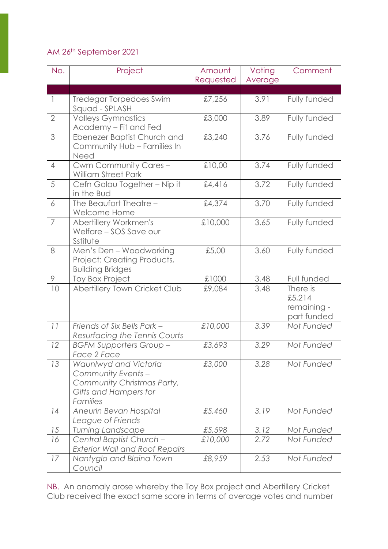#### AM 26th September 2021

| No.                      | Project                                                                                                        | Amount<br>Requested | Voting<br>Average | Comment                                          |
|--------------------------|----------------------------------------------------------------------------------------------------------------|---------------------|-------------------|--------------------------------------------------|
|                          |                                                                                                                |                     |                   |                                                  |
| $\overline{\phantom{a}}$ | Tredegar Torpedoes Swim<br>Squad - SPLASH                                                                      | £7,256              | 3.91              | Fully funded                                     |
| $\overline{2}$           | <b>Valleys Gymnastics</b><br>Academy - Fit and Fed                                                             | £3,000              | 3.89              | Fully funded                                     |
| 3                        | Ebenezer Baptist Church and<br>Community Hub - Families In<br>Need                                             | £3,240              | 3.76              | Fully funded                                     |
| $\overline{4}$           | Cwm Community Cares-<br><b>William Street Park</b>                                                             | £10,00              | 3.74              | Fully funded                                     |
| 5                        | Cefn Golau Together - Nip it<br>in the Bud                                                                     | £4,416              | 3.72              | Fully funded                                     |
| 6                        | The Beaufort Theatre -<br>Welcome Home                                                                         | £4,374              | 3.70              | Fully funded                                     |
| $\overline{7}$           | Abertillery Workmen's<br>Welfare - SOS Save our<br>Sstitute                                                    | £10,000             | 3.65              | Fully funded                                     |
| 8                        | Men's Den - Woodworking<br>Project: Creating Products,<br><b>Building Bridges</b>                              | £5,00               | 3.60              | Fully funded                                     |
| 9                        | Toy Box Project                                                                                                | £1000               | 3.48              | Full funded                                      |
| 10                       | Abertillery Town Cricket Club                                                                                  | £9,084              | 3.48              | There is<br>£5,214<br>remaining -<br>part funded |
| 11                       | Friends of Six Bells Park -<br>Resurfacing the Tennis Courts                                                   | £10,000             | 3.39              | Not Funded                                       |
| 12                       | <b>BGFM Supporters Group -</b><br>Face 2 Face                                                                  | £3,693              | 3.29              | Not Funded                                       |
| 13                       | Waunlwyd and Victoria<br>Community Events -<br>Community Christmas Party,<br>Gifts and Hampers for<br>Families | £3,000              | 3.28              | Not Funded                                       |
| 14                       | Aneurin Bevan Hospital<br>League of Friends                                                                    | £5,460              | 3.19              | Not Funded                                       |
| 15                       | Turning Landscape                                                                                              | £5,598              | 3.12              | Not Funded                                       |
| 16                       | Central Baptist Church -<br><b>Exterior Wall and Roof Repairs</b>                                              | £10,000             | 2.72              | Not Funded                                       |
| 17                       | Nantyglo and Blaina Town<br>Council                                                                            | £8,959              | 2.53              | Not Funded                                       |

NB. An anomaly arose whereby the Toy Box project and Abertillery Cricket Club received the exact same score in terms of average votes and number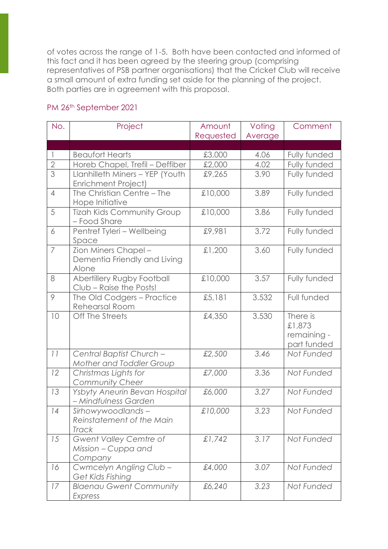of votes across the range of 1-5. Both have been contacted and informed of this fact and it has been agreed by the steering group (comprising representatives of PSB partner organisations) that the Cricket Club will receive a small amount of extra funding set aside for the planning of the project. Both parties are in agreement with this proposal.

#### PM 26th September 2021

| No.                      | Project                                                      | Amount    | Voting  | Comment                                          |
|--------------------------|--------------------------------------------------------------|-----------|---------|--------------------------------------------------|
|                          |                                                              | Requested | Average |                                                  |
|                          |                                                              |           |         |                                                  |
| $\overline{\phantom{a}}$ | <b>Beaufort Hearts</b>                                       | £3,000    | 4.06    | Fully funded                                     |
| $\overline{2}$           | Horeb Chapel, Trefil - Deffiber                              | £2,000    | 4.02    | Fully funded                                     |
| $\overline{3}$           | Llanhilleth Miners - YEP (Youth<br>Enrichment Project)       | £9,265    | 3.90    | Fully funded                                     |
| $\overline{4}$           | The Christian Centre - The<br>Hope Initiative                | £10,000   | 3.89    | Fully funded                                     |
| 5                        | <b>Tizah Kids Community Group</b><br>- Food Share            | £10,000   | 3.86    | Fully funded                                     |
| 6                        | Pentref Tyleri - Wellbeing<br>Space                          | £9,981    | 3.72    | Fully funded                                     |
| $\overline{7}$           | Zion Miners Chapel-<br>Dementia Friendly and Living<br>Alone | £1,200    | 3.60    | Fully funded                                     |
| 8                        | Abertillery Rugby Football<br>Club - Raise the Posts!        | £10,000   | 3.57    | Fully funded                                     |
| 9                        | The Old Codgers - Practice<br>Rehearsal Room                 | £5,181    | 3.532   | Full funded                                      |
| 10                       | Off The Streets                                              | £4,350    | 3.530   | There is<br>£1,873<br>remaining -<br>part funded |
| 11                       | Central Baptist Church -<br>Mother and Toddler Group         | £2,500    | 3.46    | Not Funded                                       |
| 12                       | Christmas Lights for<br>Community Cheer                      | £7,000    | 3.36    | Not Funded                                       |
| 13                       | Ysbyty Aneurin Bevan Hospital<br>- Mindfulness Garden        | £6,000    | 3.27    | Not Funded                                       |
| 14                       | Sirhowywoodlands –<br>Reinstatement of the Main<br>Track     | £10,000   | 3.23    | Not Funded                                       |
| 15                       | Gwent Valley Cemtre of<br>Mission – Cuppa and<br>Company     | £1,742    | 3.17    | Not Funded                                       |
| 16                       | Cwmcelyn Angling Club -<br>Get Kids Fishing                  | £4,000    | 3.07    | Not Funded                                       |
| 17                       | <b>Blaenau Gwent Community</b><br>Express                    | £6,240    | 3.23    | Not Funded                                       |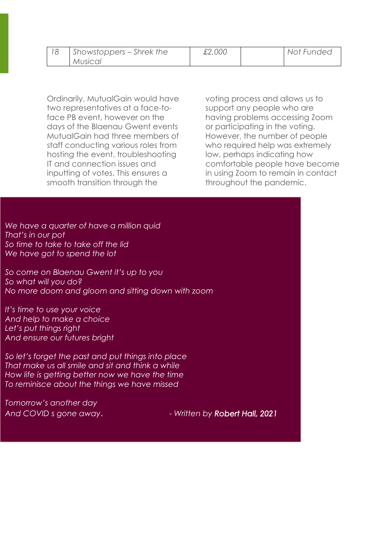| Showstoppers – Shrek the | £2,000 | Not Funded |
|--------------------------|--------|------------|
| Musical                  |        |            |

Ordinarily, MutualGain would have two representatives at a face-toface PB event, however on the days of the Blaenau Gwent events MutualGain had three members of staff conducting various roles from hosting the event, troubleshooting IT and connection issues and inputting of votes. This ensures a smooth transition through the

voting process and allows us to support any people who are having problems accessing Zoom or participating in the voting. However, the number of people who required help was extremely low, perhaps indicating how comfortable people have become in using Zoom to remain in contact throughout the pandemic.

 *We have a quarter of have a million quid That's in our pot So time to take to take off the lid We have got to spend the lot*

 *So come on Blaenau Gwent it's up to you So what will you do? No more doom and gloom and sitting down with zoom*

 *It's time to use your voice And help to make a choice Let's put things right And ensure our futures bright*

 *So let's forget the past and put things into place That make us all smile and sit and think a while How life is getting better now we have the time To reminisce about the things we have missed*

*Tomorrow's another day*

*And COVID s gone away*. - *Written by Robert Hall, 2021*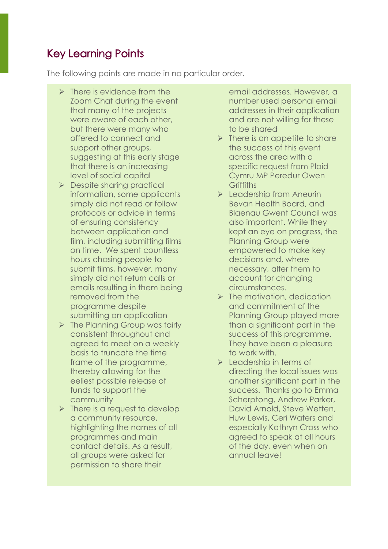## Key Learning Points

The following points are made in no particular order.

- $\triangleright$  There is evidence from the Zoom Chat during the event that many of the projects were aware of each other, but there were many who offered to connect and support other groups, suggesting at this early stage that there is an increasing level of social capital
- ➢ Despite sharing practical information, some applicants simply did not read or follow protocols or advice in terms of ensuring consistency between application and film, including submitting films on time. We spent countless hours chasing people to submit films, however, many simply did not return calls or emails resulting in them being removed from the programme despite submitting an application
- ➢ The Planning Group was fairly consistent throughout and agreed to meet on a weekly basis to truncate the time frame of the programme, thereby allowing for the eeliest possible release of funds to support the community
- $\triangleright$  There is a request to develop a community resource, highlighting the names of all programmes and main contact details. As a result, all groups were asked for permission to share their

email addresses. However, a number used personal email addresses in their application and are not willing for these to be shared

- $\triangleright$  There is an appetite to share the success of this event across the area with a specific request from Plaid Cymru MP Peredur Owen **Griffiths**
- ➢ Leadership from Aneurin Bevan Health Board, and Blaenau Gwent Council was also important. While they kept an eye on progress, the Planning Group were empowered to make key decisions and, where necessary, alter them to account for changing circumstances.
- $\triangleright$  The motivation, dedication and commitment of the Planning Group played more than a significant part in the success of this programme. They have been a pleasure to work with.
- ➢ Leadership in terms of directing the local issues was another significant part in the success. Thanks go to Emma Scherptong, Andrew Parker, David Arnold, Steve Wetten, Huw Lewis, Ceri Waters and especially Kathryn Cross who agreed to speak at all hours of the day, even when on annual leave!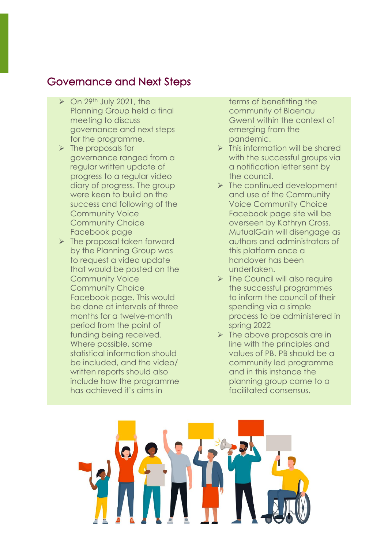## Governance and Next Steps

- $\triangleright$  On 29<sup>th</sup> July 2021, the Planning Group held a final meeting to discuss governance and next steps for the programme.
- $\triangleright$  The proposals for governance ranged from a regular written update of progress to a regular video diary of progress. The group were keen to build on the success and following of the Community Voice Community Choice Facebook page
- ➢ The proposal taken forward by the Planning Group was to request a video update that would be posted on the Community Voice Community Choice Facebook page. This would be done at intervals of three months for a twelve-month period from the point of funding being received. Where possible, some statistical information should be included, and the video/ written reports should also include how the programme has achieved it's aims in

terms of benefitting the community of Blaenau Gwent within the context of emerging from the pandemic.

- $\triangleright$  This information will be shared with the successful groups via a notification letter sent by the council.
- $\triangleright$  The continued development and use of the Community Voice Community Choice Facebook page site will be overseen by Kathryn Cross. MutualGain will disengage as authors and administrators of this platform once a handover has been undertaken.
- $\triangleright$  The Council will also require the successful programmes to inform the council of their spending via a simple process to be administered in spring 2022
- $\triangleright$  The above proposals are in line with the principles and values of PB. PB should be a community led programme and in this instance the planning group came to a facilitated consensus.

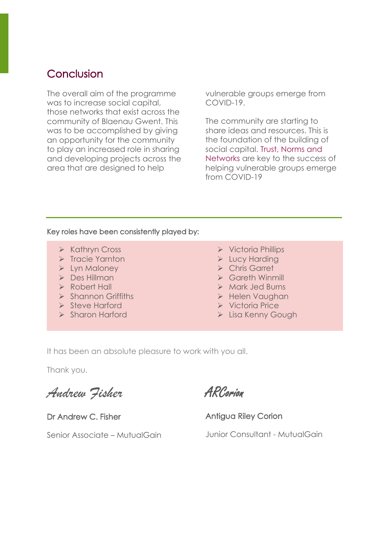## **Conclusion**

The overall aim of the programme was to increase social capital, those networks that exist across the community of Blaenau Gwent. This was to be accomplished by giving an opportunity for the community to play an increased role in sharing and developing projects across the area that are designed to help

vulnerable groups emerge from COVID-19.

The community are starting to share ideas and resources. This is the foundation of the building of social capital. Trust, Norms and Networks are key to the success of helping vulnerable groups emerge from COVID-19

#### Key roles have been consistently played by:

- ➢ Kathryn Cross
- ➢ Tracie Yarnton
- ➢ Lyn Maloney
- ➢ Des Hillman
- ➢ Robert Hall
- ➢ Shannon Griffiths
- ➢ Steve Harford
- ➢ Sharon Harford
- ➢ Victoria Phillips
- ➢ Lucy Harding
- ➢ Chris Garret
- ➢ Gareth Winmill
- ➢ Mark Jed Burns
- ➢ Helen Vaughan
- ➢ Victoria Price
- ➢ Lisa Kenny Gough

It has been an absolute pleasure to work with you all.

Thank you.

*Andrew Fisher* 

Dr Andrew C. Fisher

ARCorion

Antigua Riley Corion

Junior Consultant - MutualGain

Senior Associate – MutualGain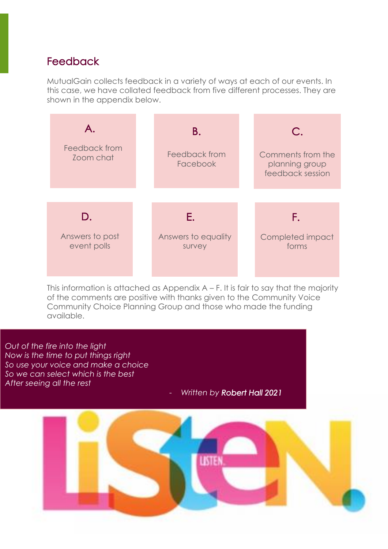## Feedback

MutualGain collects feedback in a variety of ways at each of our events. In this case, we have collated feedback from five different processes. They are shown in the appendix below.



This information is attached as Appendix  $A - F$ . It is fair to say that the majority of the comments are positive with thanks given to the Community Voice Community Choice Planning Group and those who made the funding available.

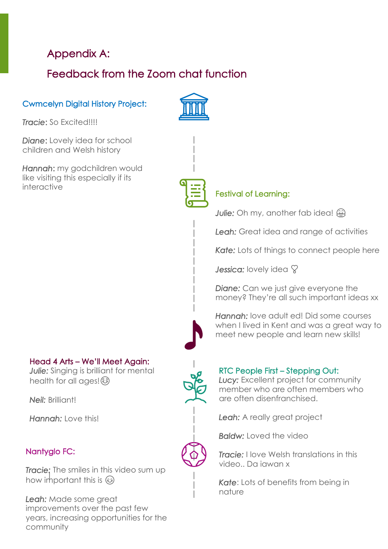## Appendix A:

# Feedback from the Zoom chat function

#### Cwmcelyn Digital History Project:

*Tracie*: So Excited!!!!

**Diane:** Lovely idea for school children and Welsh history

*Hannah*: my godchildren would like visiting this especially if its interactive

#### Head 4 Arts – We'll Meet Again: *Julie:* Singing is brilliant for mental

health for all ages!☺️

*Neil:* Brilliant!

*Hannah:* Love this!

#### Nantyglo FC:

**Tracie:** The smiles in this video sum up  $h$  is the strike in this vace semi-operation of  $\theta$ 

*Leah:* Made some great improvements over the past few years, increasing opportunities for the community





| | | | | | | | | |

|

| | | | |  $\mathbf{\mathbb{I}}$ 

| |

### Festival of Learning:

*Julie:* Oh my, another fab idea!  $\circledast$ 

*Leah:* Great idea and range of activities

*Kate:* Lots of things to connect people here

*Jessica:* lovely idea  $\varnothing$ 

*Diane:* Can we just give everyone the money? They're all such important ideas xx

*Hannah:* love adult ed! Did some courses when I lived in Kent and was a great way to meet new people and learn new skills!

#### RTC People First – Stepping Out:

**Lucy:** Excellent project for community member who are often members who are often disenfranchised.

Leah: A really great project

*Baldw:* Loved the video

*Tracie:* I love Welsh translations in this video.. Da iawan x

*Kate*: Lots of benefits from being in nature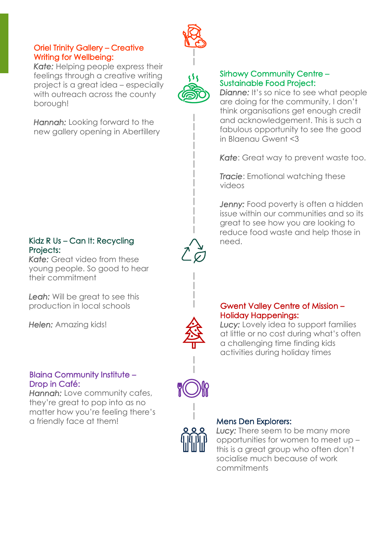#### Oriel Trinity Gallery – Creative Writing for Wellbeing:

*Kate:* Helping people express their feelings through a creative writing project is a great idea – especially with outreach across the county borough!

*Hannah:* Looking forward to the new gallery opening in Abertillery

#### Kidz R Us – Can It: Recycling  $\bigwedge$  need. Projects:

*Kate:* Great video from these young people. So good to hear their commitment

Leah: Will be great to see this production in local schools

*Helen:* Amazing kids!

#### Blaina Community Institute – Drop in Café:

*Hannah:* Love community cafes, they're great to pop into as no matter how you're feeling there's a friendly face at them! Mens Den Explorers:



| | | | | | | | | | | | |

| | | |

| |

| |

#### Sirhowy Community Centre – Sustainable Food Project:

**Dianne:** It's so nice to see what people are doing for the community, I don't think organisations get enough credit and acknowledgement. This is such a fabulous opportunity to see the good in Blaenau Gwent <3

*Kate*: Great way to prevent waste too.

*Tracie*: Emotional watching these videos

*Jenny:* Food poverty is often a hidden issue within our communities and so its great to see how you are looking to reduce food waste and help those in

#### Gwent Valley Centre of Mission – Holiday Happenings:

*Lucy:* Lovely idea to support families at little or no cost during what's often a challenging time finding kids activities during holiday times

*Lucy:* There seem to be many more opportunities for women to meet up – this is a great group who often don't socialise much because of work commitments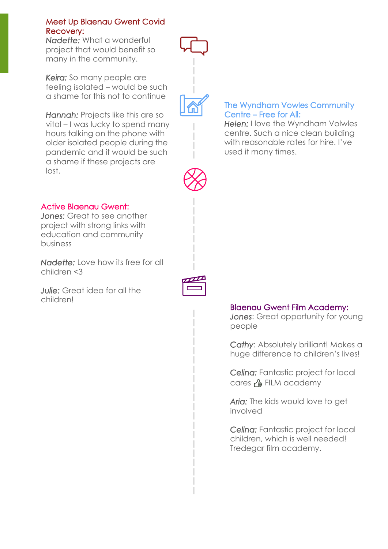#### Meet Up Blaenau Gwent Covid Recovery:

*Nadette:* What a wonderful project that would benefit so many in the community.

*Keira:* So many people are feeling isolated – would be such a shame for this not to continue

*Hannah:* Projects like this are so vital – I was lucky to spend many hours talking on the phone with older isolated people during the pandemic and it would be such a shame if these projects are lost.

#### The Wyndham Vowles Community Centre – Free for All:

*Helen:* I love the Wyndham Volwles centre. Such a nice clean building with reasonable rates for hire. I've used it many times.



| | | | | | |

| | | |

| | | |

#### Active Blaenau Gwent:

*Jones:* Great to see another project with strong links with education and community business

*Nadette:* Love how its free for all children <3

*Julie:* Great idea for all the children!



| | | | | | | | | | | | | | | | | | | |

#### Blaenau Gwent Film Academy:

*Jones: Great opportunity for young* people

*Cathy*: Absolutely brilliant! Makes a huge difference to children's lives!

*Celina:* Fantastic project for local cares <sup>1</sup> FILM academy

Aria: The kids would love to get involved

*Celina: Fantastic project for local* children, which is well needed! Tredegar film academy.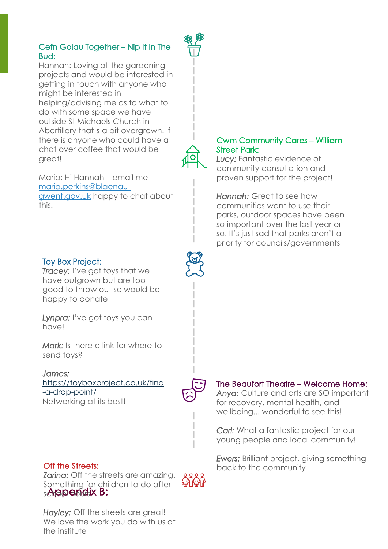#### Cefn Golau Together – Nip It In The Bud:

Hannah: Loving all the gardening projects and would be interested in getting in touch with anyone who might be interested in helping/advising me as to what to do with some space we have outside St Michaels Church in Abertillery that's a bit overgrown. If there is anyone who could have a chat over coffee that would be great!

Maria: Hi Hannah – email me [maria.perkins@blaenau](mailto:maria.perkins@blaenau-gwent.gov.uk)[gwent.gov.uk](mailto:maria.perkins@blaenau-gwent.gov.uk) happy to chat about this!

#### Toy Box Project:

*Tracey:* I've got toys that we have outgrown but are too good to throw out so would be happy to donate

Lynpra: I've got toys you can have!

*Mark:* Is there a link for where to send toys?

#### *James:*

[https://toyboxproject.co.uk/find](https://toyboxproject.co.uk/find-a-drop-point/) [-a-drop-point/](https://toyboxproject.co.uk/find-a-drop-point/) Networking at its best!

Something for children to do after  $s$ Appendix  $B$ : *Zarina:* Off the streets are amazing.

*Hayley:* Off the streets are great! We love the work you do with us at the institute



*Lucy:* Fantastic evidence of community consultation and proven support for the project!

*Hannah:* Great to see how communities want to use their parks, outdoor spaces have been so important over the last year or so. It's just sad that parks aren't a priority for councils/governments

#### The Beaufort Theatre – Welcome Home:

*Anya:* Culture and arts are SO important for recovery, mental health, and wellbeing... wonderful to see this!

*Carl:* What a fantastic project for our young people and local community!

*Ewers:* Brilliant project, giving something Off the Streets: back to the community



| | | |

 $\overline{\phantom{a}}$ | | | | | | | | |

| | | | | | |

| | | | | | | | | |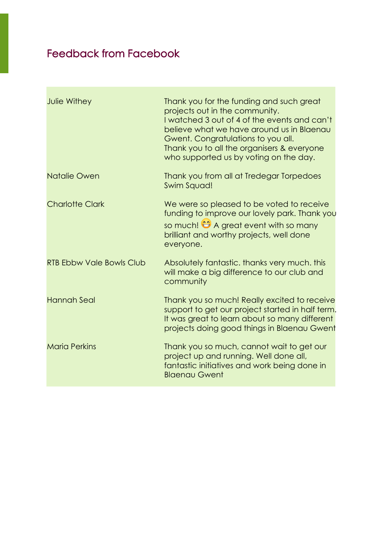## Feedback from Facebook

| <b>Julie Withey</b>             | Thank you for the funding and such great<br>projects out in the community.<br>I watched 3 out of 4 of the events and can't<br>believe what we have around us in Blaenau<br>Gwent. Congratulations to you all.<br>Thank you to all the organisers & everyone<br>who supported us by voting on the day. |
|---------------------------------|-------------------------------------------------------------------------------------------------------------------------------------------------------------------------------------------------------------------------------------------------------------------------------------------------------|
| Natalie Owen                    | Thank you from all at Tredegar Torpedoes<br>Swim Squad!                                                                                                                                                                                                                                               |
| <b>Charlotte Clark</b>          | We were so pleased to be voted to receive<br>funding to improve our lovely park. Thank you<br>so much! $\bigodot$ A great event with so many<br>brilliant and worthy projects, well done<br>everyone.                                                                                                 |
| <b>RTB Ebbw Vale Bowls Club</b> | Absolutely fantastic, thanks very much, this<br>will make a big difference to our club and<br>community                                                                                                                                                                                               |
| <b>Hannah Seal</b>              | Thank you so much! Really excited to receive<br>support to get our project started in half term.<br>It was great to learn about so many different<br>projects doing good things in Blaenau Gwent                                                                                                      |
| <b>Maria Perkins</b>            | Thank you so much, cannot wait to get our<br>project up and running. Well done all,<br>fantastic initiatives and work being done in<br><b>Blaenau Gwent</b>                                                                                                                                           |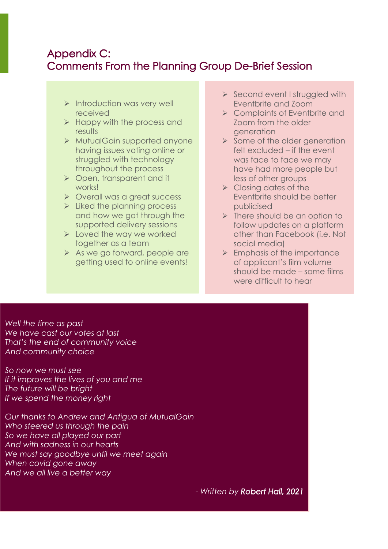## Appendix C: Comments From the Planning Group De-Brief Session

- ➢ Introduction was very well received
- $\triangleright$  Happy with the process and results
- ➢ MutualGain supported anyone having issues voting online or struggled with technology throughout the process
- ➢ Open, transparent and it works!
- ➢ Overall was a great success
- $\triangleright$  Liked the planning process and how we got through the supported delivery sessions
- ➢ Loved the way we worked together as a team
- ➢ As we go forward, people are getting used to online events!
- ➢ Second event I struggled with Eventbrite and Zoom
- ➢ Complaints of Eventbrite and Zoom from the older generation
- ➢ Some of the older generation felt excluded – if the event was face to face we may have had more people but less of other groups
- ➢ Closing dates of the Eventbrite should be better publicised
- ➢ There should be an option to follow updates on a platform other than Facebook (i.e. Not social media)
- ➢ Emphasis of the importance of applicant's film volume should be made – some films were difficult to hear

*Well the time as past We have cast our votes at last That's the end of community voice And community choice* 

*So now we must see If it improves the lives of you and me The future will be bright If we spend the money right*

*Our thanks to Andrew and Antigua of MutualGain Who steered us through the pain So we have all played our part And with sadness in our hearts We must say goodbye until we meet again When covid gone away And we all live a better way*

- *Written by Robert Hall, 2021*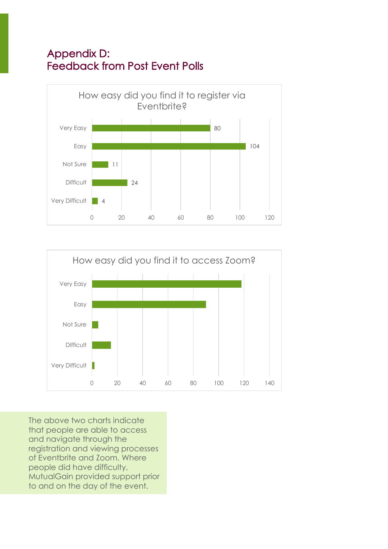## Appendix D: Feedback from Post Event Polls





 The above two charts indicate mar people are able to ad<br>and navigate through the registration and viewing processes of Eventbrite and Zoom. Where people ald nave allillcully,<br>MutualGain provided support prior to and on the day of the event.that people are able to access people did have difficulty,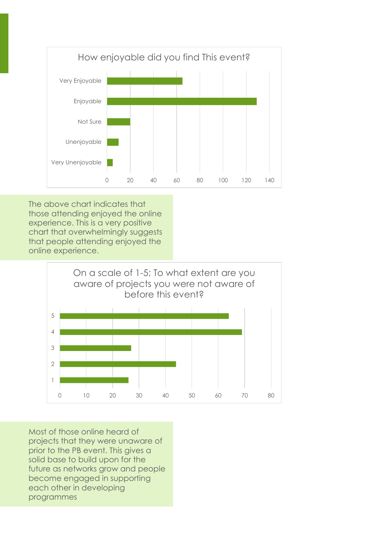

 The above chart indicates that mose arienaling enjoyed me onlin<br>experience. This is a very positive chart that overwhelmingly suggests that people attending enjoyed the online experience. those attending enjoyed the online



 Most of those online heard of prior to the PB event. This gives a solid base to build upon for the future as networks grow and people become engaged in sopp projects that they were unaware of become engaged in supporting programmes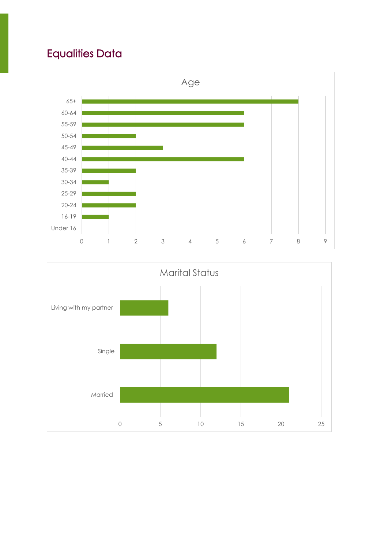## Equalities Data



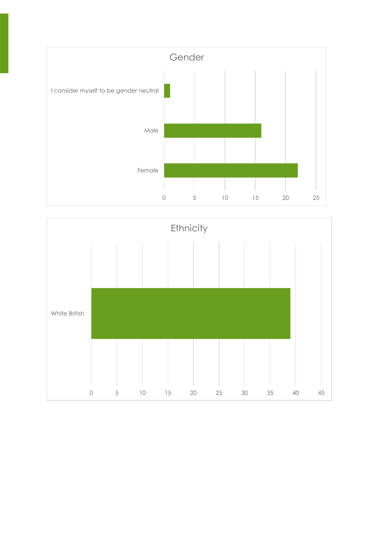

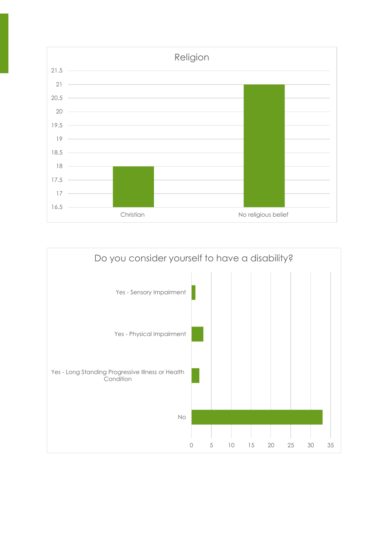

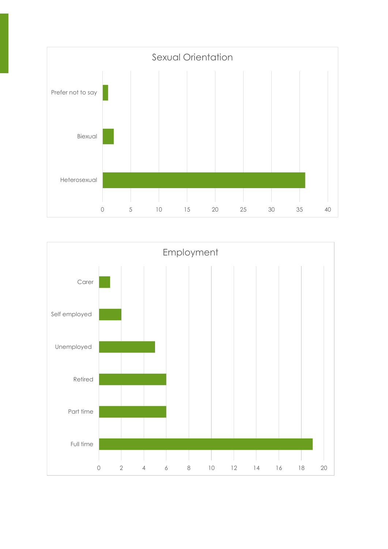

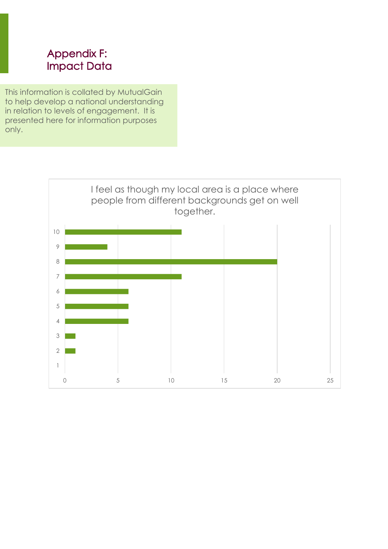## Appendix F: Impact Data

This information is collated by MutualGain to help develop a national understanding in relation to levels of engagement. It is presented here for information purposes only.

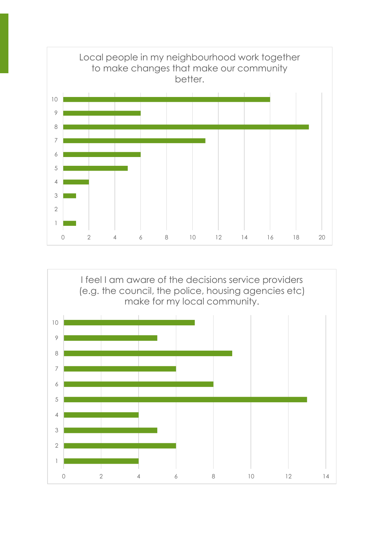

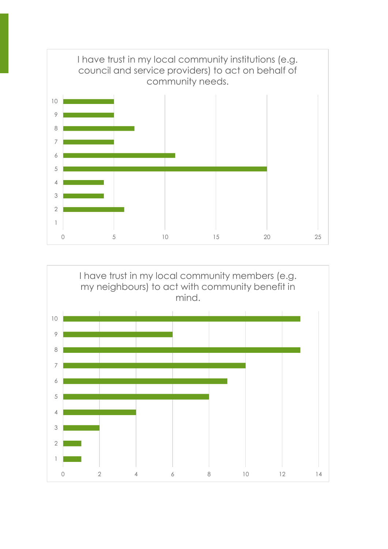

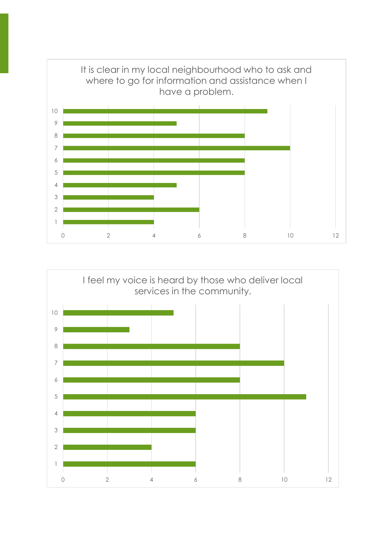